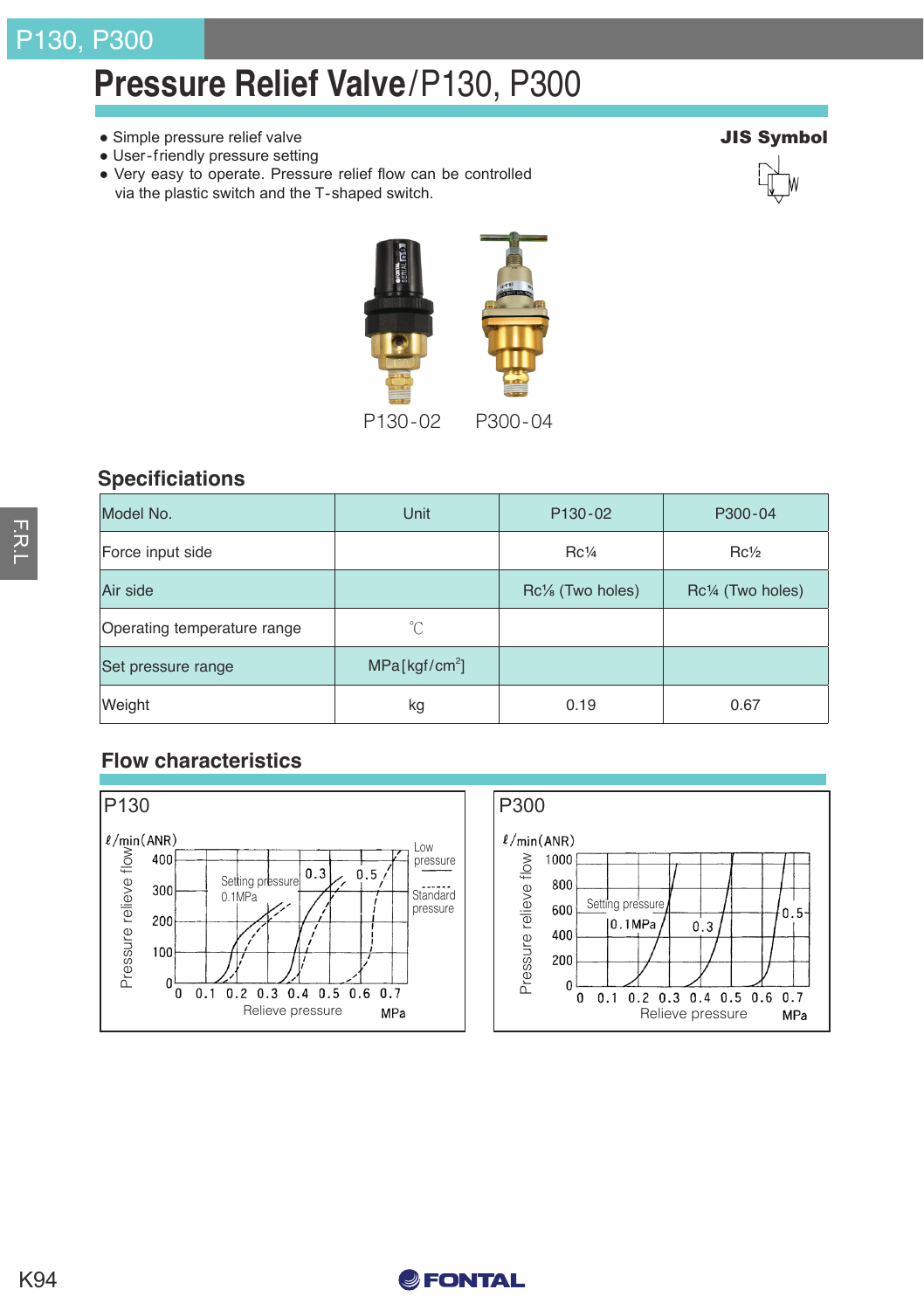# **Pressure Relief Valve**/P130, P300

- Simple pressure relief valve
- User-friendly pressure setting





**Specificiations**

| $-200$                      |                           |                               |                   |  |  |  |
|-----------------------------|---------------------------|-------------------------------|-------------------|--|--|--|
| Model No.                   | Unit                      | P <sub>130</sub> -02          | P300-04           |  |  |  |
| Force input side            |                           | $Rc\frac{1}{4}$               | $Rc\frac{1}{2}$   |  |  |  |
| Air side                    |                           | Rc <sup>1/8</sup> (Two holes) | Rc1/4 (Two holes) |  |  |  |
| Operating temperature range | °C                        |                               |                   |  |  |  |
| Set pressure range          | MPa[kgf/cm <sup>2</sup> ] |                               |                   |  |  |  |
| Weight                      | kg                        | 0.19                          | 0.67              |  |  |  |

### **Flow characteristics**





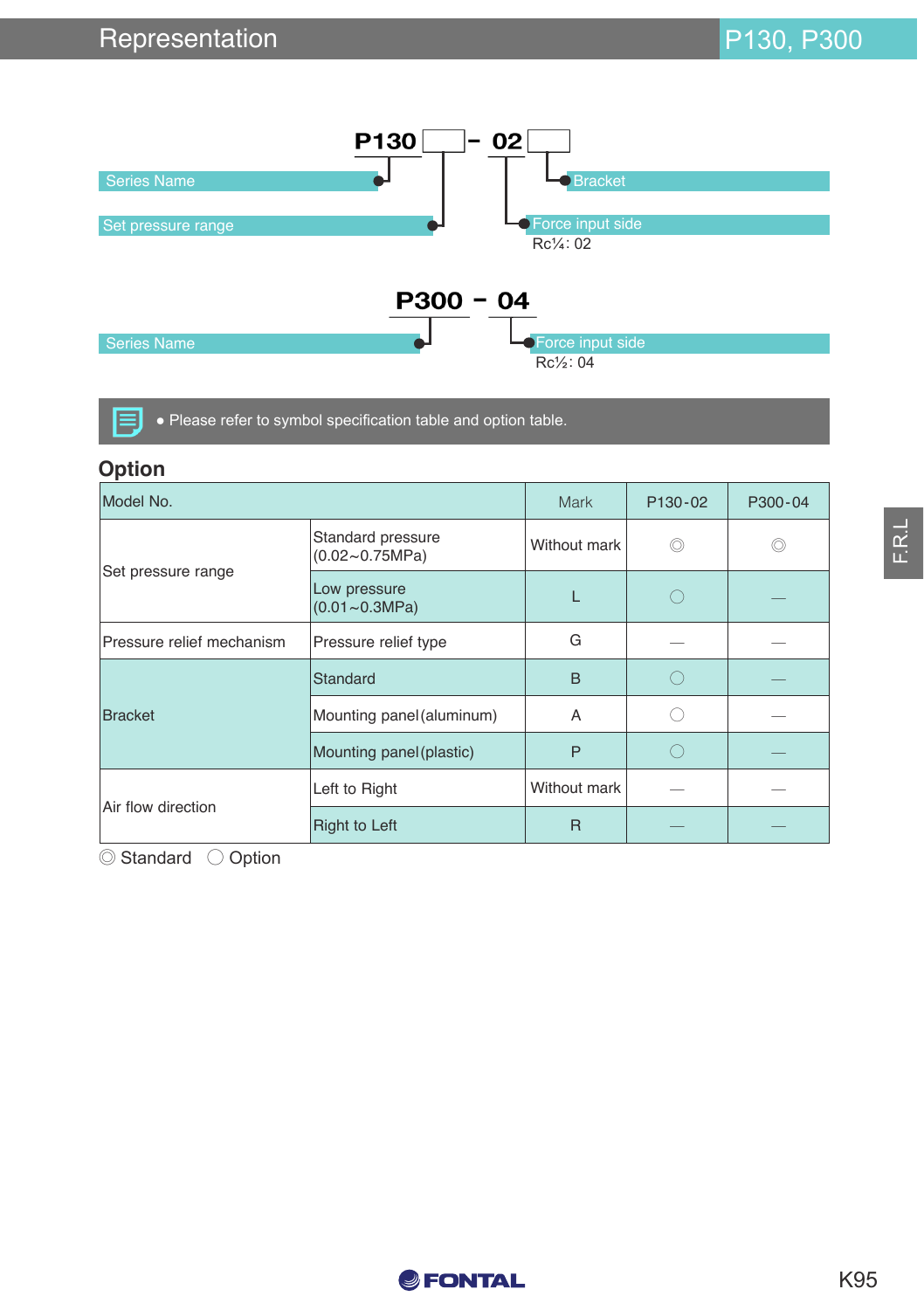## Representation **P130, P300**



● Please refer to symbol specification table and option table.

## **Option**

| Model No.                 |                                             | <b>Mark</b>  | P <sub>130</sub> -02 | P300-04 |
|---------------------------|---------------------------------------------|--------------|----------------------|---------|
| Set pressure range        | Standard pressure<br>$(0.02 \sim 0.75 MPa)$ | Without mark | 0                    | O       |
|                           | Low pressure<br>$(0.01 - 0.3 MPa)$          |              |                      |         |
| Pressure relief mechanism | Pressure relief type                        | G            |                      |         |
| <b>Bracket</b>            | Standard                                    | B            |                      |         |
|                           | Mounting panel (aluminum)                   | A            |                      |         |
|                           | Mounting panel (plastic)                    | P            |                      |         |
| Air flow direction        | Left to Right                               | Without mark |                      |         |
|                           | <b>Right to Left</b>                        | $\mathsf{R}$ |                      |         |

◎ Standard ◯ Option